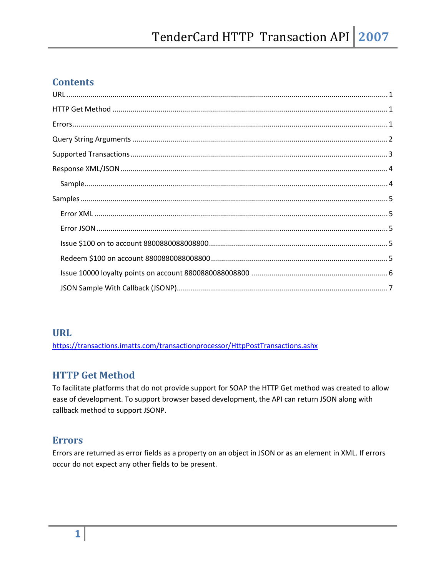## **Contents**

### **URL**

https://transactions.imatts.com/transactionprocessor/HttpPostTransactions.ashx

# **HTTP Get Method**

To facilitate platforms that do not provide support for SOAP the HTTP Get method was created to allow ease of development. To support browser based development, the API can return JSON along with callback method to support JSONP.

#### **Errors**

Errors are returned as error fields as a property on an object in JSON or as an element in XML. If errors occur do not expect any other fields to be present.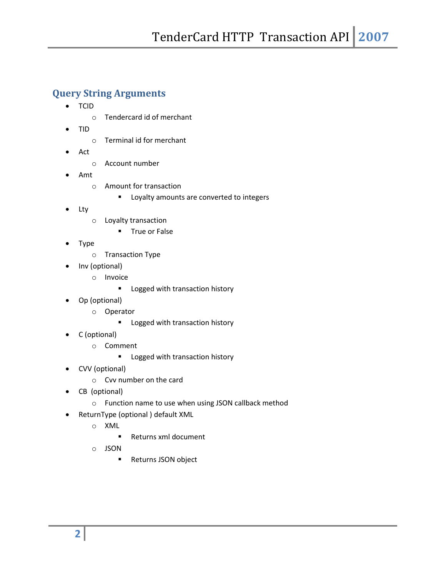## **Query String Arguments**

- TCID
	- o Tendercard id of merchant
- TID
	- o Terminal id for merchant
- Act
	- o Account number
- Amt
	- o Amount for transaction
		- **EXECO LOYALTY AMOUT LOYALTY AT A LOYALTY AMOUT LOYALTY**
- Lty
	- o Loyalty transaction
		- **True or False**
- Type
	- o Transaction Type
- Inv (optional)
	- o Invoice
		- **Logged with transaction history**
- Op (optional)
	- o Operator
		- **E** Logged with transaction history
- C (optional)
	- o Comment
		- **Logged with transaction history**
- CVV (optional)
	- o Cvv number on the card
- CB (optional)
	- o Function name to use when using JSON callback method
- ReturnType (optional ) default XML
	- o XML
		- Returns xml document
	- o JSON
		- Returns JSON object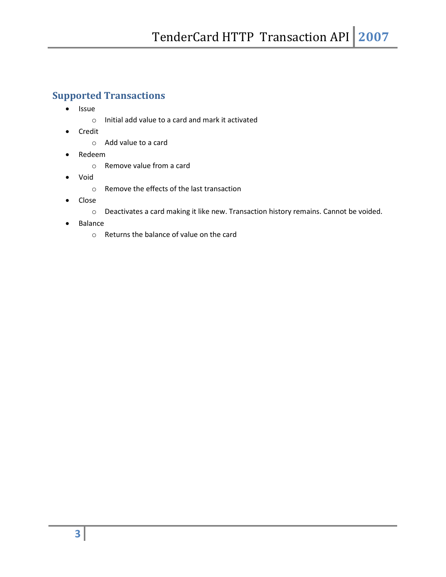# **Supported Transactions**

- Issue
	- o Initial add value to a card and mark it activated
- Credit
	- o Add value to a card
- Redeem
	- o Remove value from a card
- Void
	- o Remove the effects of the last transaction
- Close
	- o Deactivates a card making it like new. Transaction history remains. Cannot be voided.
- Balance
	- o Returns the balance of value on the card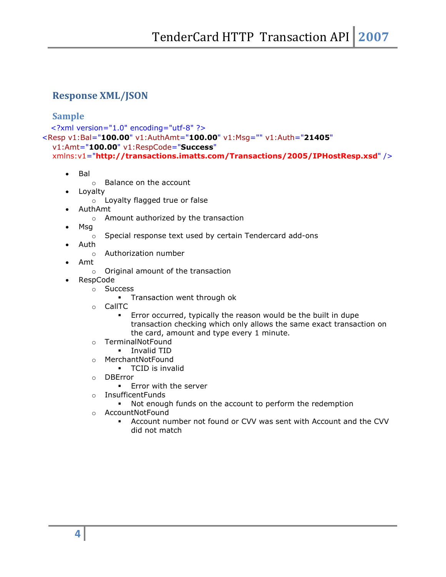## **Response XML/JSON**

#### **Sample**

```
<?xml version="1.0" encoding="utf-8" ?>
```

```
<Resp v1:Bal="100.00" v1:AuthAmt="100.00" v1:Msg="" v1:Auth="21405"
```

```
v1:Amt="100.00" v1:RespCode="Success"
```

```
xmlns:v1="http://transactions.imatts.com/Transactions/2005/IPHostResp.xsd" />
```
- Bal
	- o Balance on the account
- Loyalty
	- o Loyalty flagged true or false
- AuthAmt
	- o Amount authorized by the transaction
- Msg
	- o Special response text used by certain Tendercard add-ons
- Auth
	- o Authorization number
- Amt
	- o Original amount of the transaction
- RespCode
	- o Success
		- **Transaction went through ok**
	- o CallTC
		- Error occurred, typically the reason would be the built in dupe transaction checking which only allows the same exact transaction on the card, amount and type every 1 minute.
	- o TerminalNotFound
		- **I**nvalid TID
	- o MerchantNotFound
		- TCID is invalid
	- o DBError
		- **Error with the server**
	- o InsufficentFunds
		- Not enough funds on the account to perform the redemption
	- o AccountNotFound
		- Account number not found or CVV was sent with Account and the CVV did not match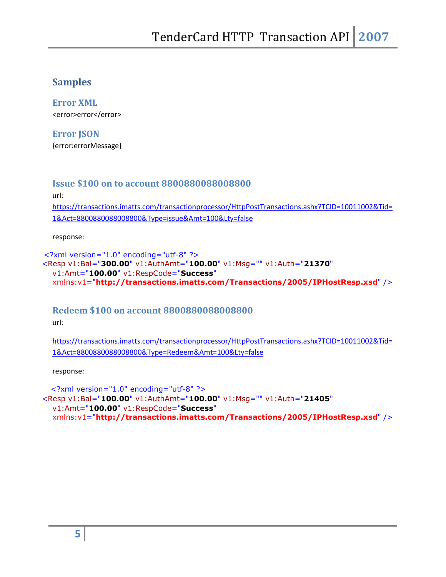## **Samples**

**Error XML**  <error>error</error>

**Error JSON**  {error:errorMessage}

#### **Issue \$100 on to account 8800880088008800**

url:

https://transactions.imatts.com/transactionprocessor/HttpPostTransactions.ashx?TCID=10011002&Tid= 1&Act=8800880088008800&Type=issue&Amt=100&Lty=false

response:

```
<?xml version="1.0" encoding="utf-8" ?> 
<Resp v1:Bal="300.00" v1:AuthAmt="100.00" v1:Msg="" v1:Auth="21370"
  v1:Amt="100.00" v1:RespCode="Success"
  xmlns:v1="http://transactions.imatts.com/Transactions/2005/IPHostResp.xsd" />
```
## **Redeem \$100 on account 8800880088008800**

url:

https://transactions.imatts.com/transactionprocessor/HttpPostTransactions.ashx?TCID=10011002&Tid= 1&Act=8800880088008800&Type=Redeem&Amt=100&Lty=false

response:

<?xml version="1.0" encoding="utf-8" ?> <Resp v1:Bal="**100.00**" v1:AuthAmt="**100.00**" v1:Msg="" v1:Auth="**21405**" v1:Amt="**100.00**" v1:RespCode="**Success**" xmlns:v1="**http://transactions.imatts.com/Transactions/2005/IPHostResp.xsd**" />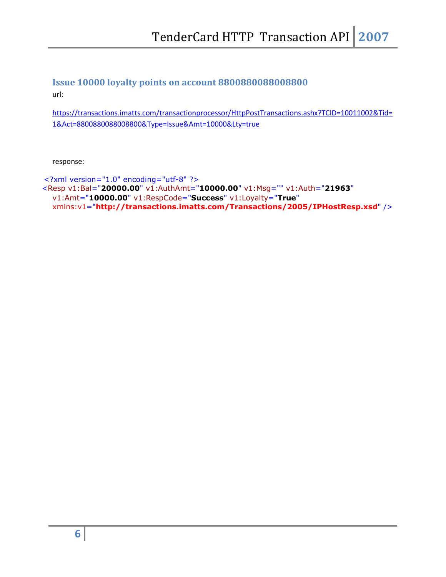# **Issue 10000 loyalty points on account 8800880088008800**

url:

https://transactions.imatts.com/transactionprocessor/HttpPostTransactions.ashx?TCID=10011002&Tid= 1&Act=8800880088008800&Type=Issue&Amt=10000&Lty=true

response:

```
<?xml version="1.0" encoding="utf-8" ?> 
<Resp v1:Bal="20000.00" v1:AuthAmt="10000.00" v1:Msg="" v1:Auth="21963"
  v1:Amt="10000.00" v1:RespCode="Success" v1:Loyalty="True"
  xmlns:v1="http://transactions.imatts.com/Transactions/2005/IPHostResp.xsd" />
```